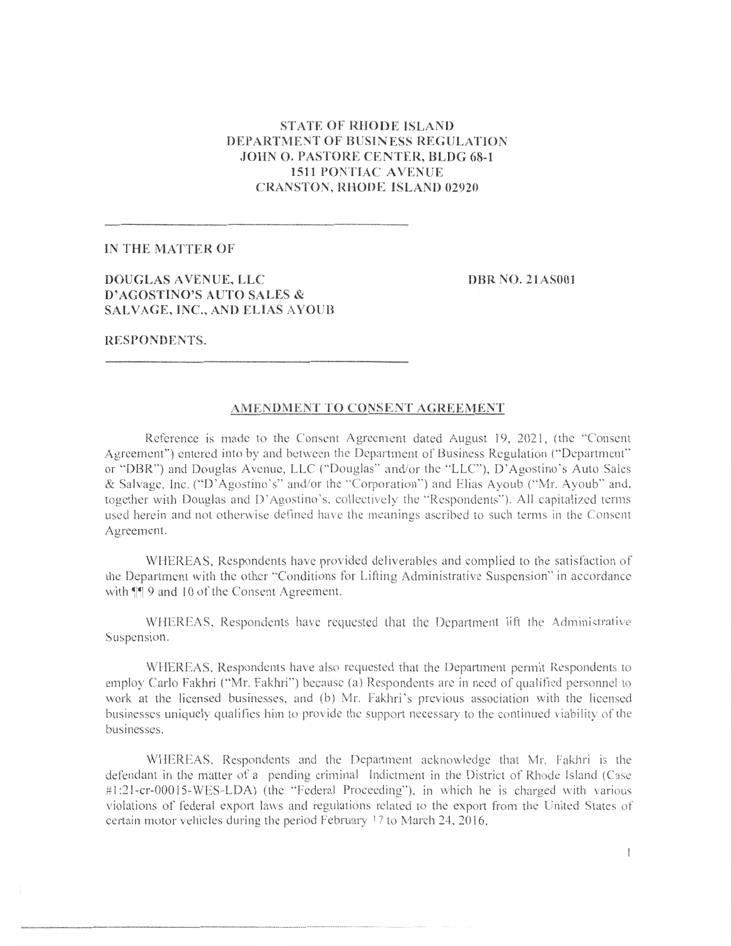# **STATE OF RHODE ISLAND** DEPARTMENT OF BUSINESS REGULATION **JOHN O. PASTORE CENTER, BLDG 68-1 1511 PONTIAC AVENUE CRANSTON, RHODE ISLAND 02920**

#### IN THE MATTER OF

## DOUGLAS AVENUE, LLC D'AGOSTINO'S AUTO SALES & SALVAGE, INC., AND ELIAS AYOUB

**DBR NO. 21AS001** 

## RESPONDENTS.

#### AMENDMENT TO CONSENT AGREEMENT

Reference is made to the Consent Agreement dated August 19, 2021, (the "Consent" Agreement") entered into by and between the Department of Business Regulation ("Department" or "DBR") and Douglas Avenue, LLC ("Douglas" and/or the "LLC"), D'Agostino's Auto Sales & Salvage, Inc. ("D'Agostino's" and/or the "Corporation") and Elias Ayoub ("Mr. Ayoub" and, together with Douglas and D'Agostino's, collectively the "Respondents"). All capitalized terms used herein and not otherwise defined have the meanings ascribed to such terms in the Consent Agreement.

WHEREAS. Respondents have provided deliverables and complied to the satisfaction of the Department with the other "Conditions for Lifting Administrative Suspension" in accordance with  $\P$  9 and 10 of the Consent Agreement.

WHEREAS, Respondents have requested that the Department lift the Administrative Suspension.

WHEREAS, Respondents have also requested that the Department permit Respondents to employ Carlo Fakhri ("Mr. Fakhri") because (a) Respondents are in need of qualified personnel to work at the licensed businesses, and (b) Mr. Fakhri's previous association with the licensed businesses uniquely qualifies him to provide the support necessary to the continued viability of the businesses.

WHEREAS, Respondents and the Department acknowledge that Mr. Fakhri is the defendant in the matter of a pending criminal Indictment in the District of Rhode Island (Case #1:21-cr-00015-WES-LDA) (the "Federal Proceeding"), in which he is charged with various violations of federal export laws and regulations related to the export from the United States of certain motor vehicles during the period February 17 to March 24, 2016.

 $\mathbf{I}$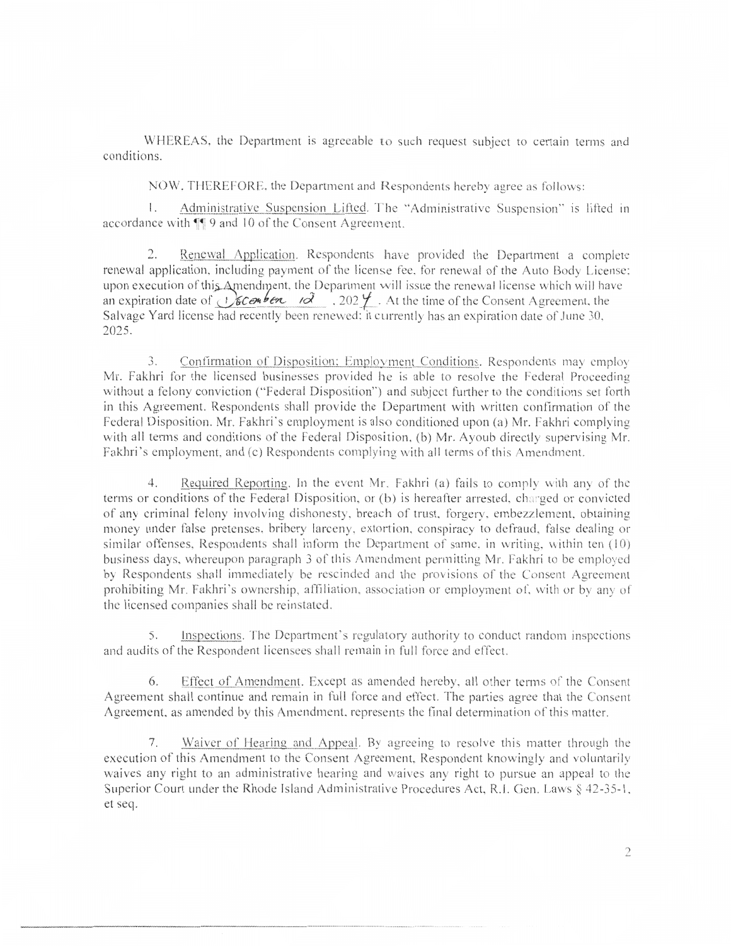WHEREAS, the Department is agreeable to such request subject to certain terms and conditions.

NOW. THEREFORE, the Department and Respondents hereby agree as follows:

Administrative Suspension Lifted. The "Administrative Suspension" is lifted in  $\mathbb{L}$ accordance with  $\P$  9 and 10 of the Consent Agreement.

Renewal Application. Respondents have provided the Department a complete  $2.$ renewal application, including payment of the license fee, for renewal of the Auto Body License; upon execution of this Amendment, the Department will issue the renewal license which will have an expiration date of  $\sqrt{\frac{2}{2}}$   $\frac{6}{202}$  . 202  $\frac{4}{2}$ . At the time of the Consent Agreement, the Salvage Yard license had recently been renewed; it currently has an expiration date of June 30, 2025.

3. Confirmation of Disposition; Employment Conditions. Respondents may employ Mr. Fakhri for the licensed businesses provided he is able to resolve the Federal Proceeding without a felony conviction ("Federal Disposition") and subject further to the conditions set forth in this Agreement. Respondents shall provide the Department with written confirmation of the Federal Disposition. Mr. Fakhri's employment is also conditioned upon (a) Mr. Fakhri complying with all terms and conditions of the Federal Disposition, (b) Mr. Ayoub directly supervising Mr. Fakhri's employment, and (c) Respondents complying with all terms of this Amendment.

Required Reporting. In the event Mr. Fakhri (a) fails to comply with any of the  $4.$ terms or conditions of the Federal Disposition, or (b) is hereafter arrested, charged or convicted of any criminal felony involving dishonesty, breach of trust, forgery, embezzlement, obtaining money under false pretenses, bribery larceny, extortion, conspiracy to defraud, false dealing or similar offenses, Respondents shall inform the Department of same, in writing, within ten (10) business days, whereupon paragraph 3 of this Amendment permitting Mr. Fakhri to be employed by Respondents shall immediately be rescinded and the provisions of the Consent Agreement prohibiting Mr. Fakhri's ownership, affiliation, association or employment of, with or by any of the licensed companies shall be reinstated.

Inspections. The Department's regulatory authority to conduct random inspections  $\mathcal{S}_{1}$ and audits of the Respondent licensees shall remain in full force and effect.

6. Effect of Amendment. Except as amended hereby, all other terms of the Consent Agreement shall continue and remain in full force and effect. The parties agree that the Consent Agreement, as amended by this Amendment, represents the final determination of this matter.

Waiver of Hearing and Appeal. By agreeing to resolve this matter through the  $7.$ execution of this Amendment to the Consent Agreement, Respondent knowingly and voluntarily waives any right to an administrative hearing and waives any right to pursue an appeal to the Superior Court under the Rhode Island Administrative Procedures Act, R.I. Gen. Laws § 42-35-1, et seq.